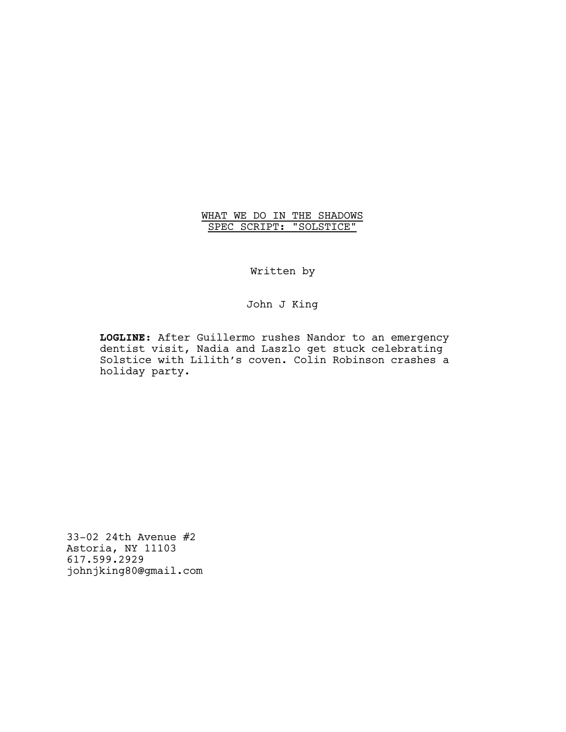# WHAT WE DO IN THE SHADOWS SPEC SCRIPT: "SOLSTICE"

Written by

John J King

**LOGLINE**: After Guillermo rushes Nandor to an emergency dentist visit, Nadia and Laszlo get stuck celebrating Solstice with Lilith's coven. Colin Robinson crashes a holiday party.

33-02 24th Avenue #2 Astoria, NY 11103 617.599.2929 johnjking80@gmail.com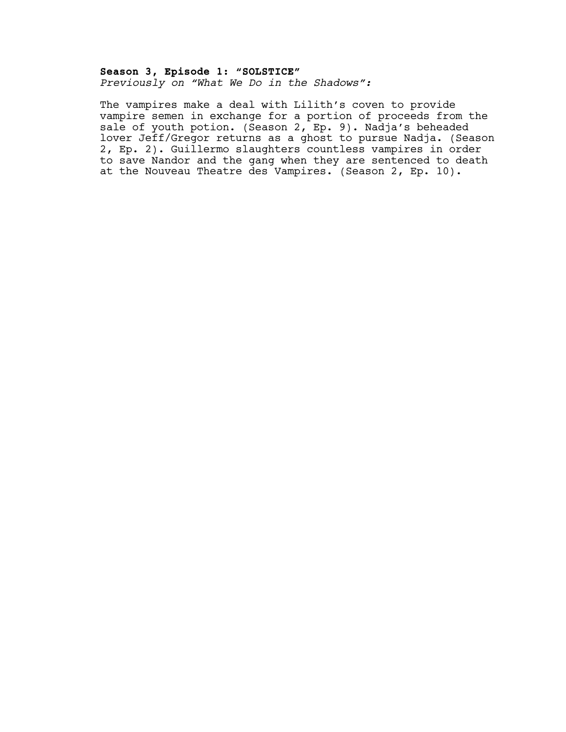## **Season 3, Episode 1: "SOLSTICE"** *Previously on "What We Do in the Shadows":*

The vampires make a deal with Lilith's coven to provide vampire semen in exchange for a portion of proceeds from the sale of youth potion. (Season 2, Ep. 9). Nadja's beheaded lover Jeff/Gregor returns as a ghost to pursue Nadja. (Season 2, Ep. 2). Guillermo slaughters countless vampires in order to save Nandor and the gang when they are sentenced to death at the Nouveau Theatre des Vampires. (Season 2, Ep. 10).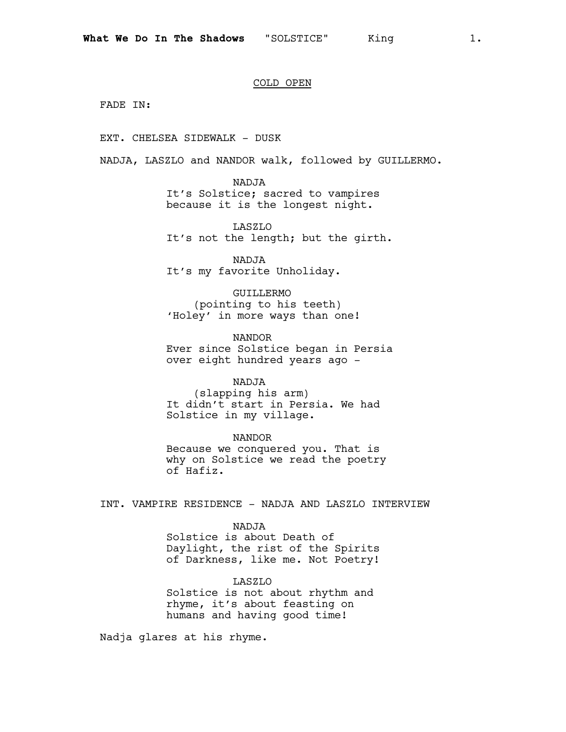#### COLD OPEN

FADE IN:

EXT. CHELSEA SIDEWALK - DUSK

NADJA, LASZLO and NANDOR walk, followed by GUILLERMO.

NADJA It's Solstice; sacred to vampires because it is the longest night.

LASZLO It's not the length; but the girth.

NADJA It's my favorite Unholiday.

GUILLERMO (pointing to his teeth) 'Holey' in more ways than one!

NANDOR Ever since Solstice began in Persia over eight hundred years ago -

# NADJA

(slapping his arm) It didn't start in Persia. We had Solstice in my village.

NANDOR Because we conquered you. That is why on Solstice we read the poetry of Hafiz.

INT. VAMPIRE RESIDENCE - NADJA AND LASZLO INTERVIEW

NADJA

Solstice is about Death of Daylight, the rist of the Spirits of Darkness, like me. Not Poetry!

LASZLO Solstice is not about rhythm and rhyme, it's about feasting on

humans and having good time!

Nadja glares at his rhyme.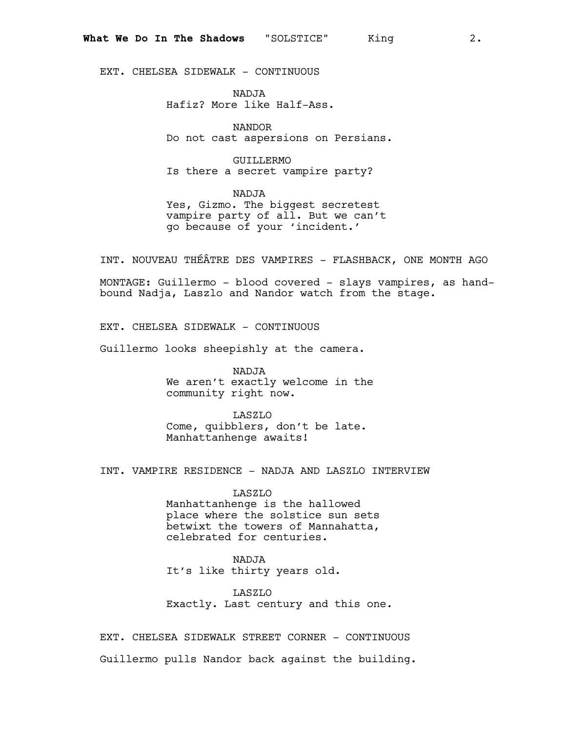EXT. CHELSEA SIDEWALK - CONTINUOUS

NADJA Hafiz? More like Half-Ass.

NANDOR Do not cast aspersions on Persians.

GUILLERMO Is there a secret vampire party?

NADJA Yes, Gizmo. The biggest secretest vampire party of all. But we can't go because of your 'incident.'

INT. NOUVEAU THÉÂTRE DES VAMPIRES - FLASHBACK, ONE MONTH AGO

MONTAGE: Guillermo - blood covered - slays vampires, as handbound Nadja, Laszlo and Nandor watch from the stage.

EXT. CHELSEA SIDEWALK - CONTINUOUS

Guillermo looks sheepishly at the camera.

NADJA We aren't exactly welcome in the community right now.

LASZLO Come, quibblers, don't be late. Manhattanhenge awaits!

INT. VAMPIRE RESIDENCE - NADJA AND LASZLO INTERVIEW

LASZLO Manhattanhenge is the hallowed place where the solstice sun sets betwixt the towers of Mannahatta, celebrated for centuries.

NADJA

It's like thirty years old.

LASZLO Exactly. Last century and this one.

EXT. CHELSEA SIDEWALK STREET CORNER - CONTINUOUS Guillermo pulls Nandor back against the building.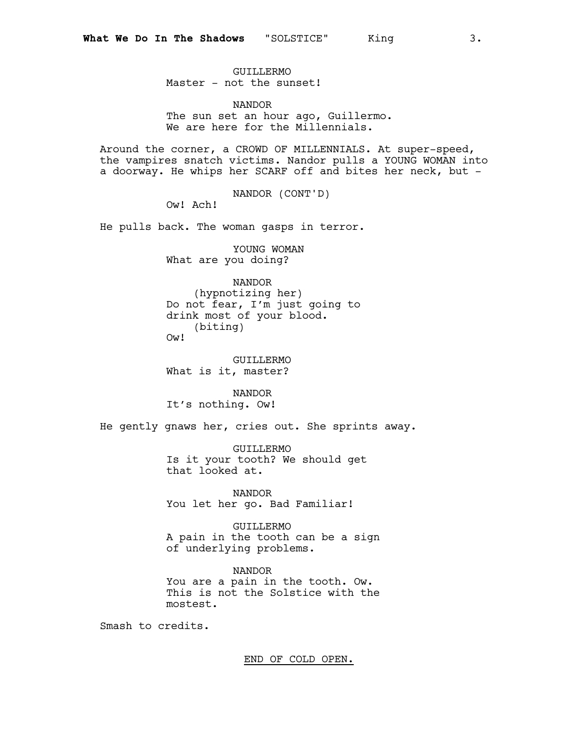GUILLERMO Master - not the sunset!

NANDOR The sun set an hour ago, Guillermo. We are here for the Millennials.

Around the corner, a CROWD OF MILLENNIALS. At super-speed, the vampires snatch victims. Nandor pulls a YOUNG WOMAN into a doorway. He whips her SCARF off and bites her neck, but -

NANDOR (CONT'D)

Ow! Ach!

He pulls back. The woman gasps in terror.

YOUNG WOMAN What are you doing?

NANDOR (hypnotizing her) Do not fear, I'm just going to drink most of your blood. (biting) Ow!

GUILLERMO What is it, master?

NANDOR It's nothing. Ow!

He gently gnaws her, cries out. She sprints away.

GUILLERMO Is it your tooth? We should get that looked at.

NANDOR You let her go. Bad Familiar!

GUILLERMO A pain in the tooth can be a sign of underlying problems.

NANDOR You are a pain in the tooth. Ow. This is not the Solstice with the mostest.

Smash to credits.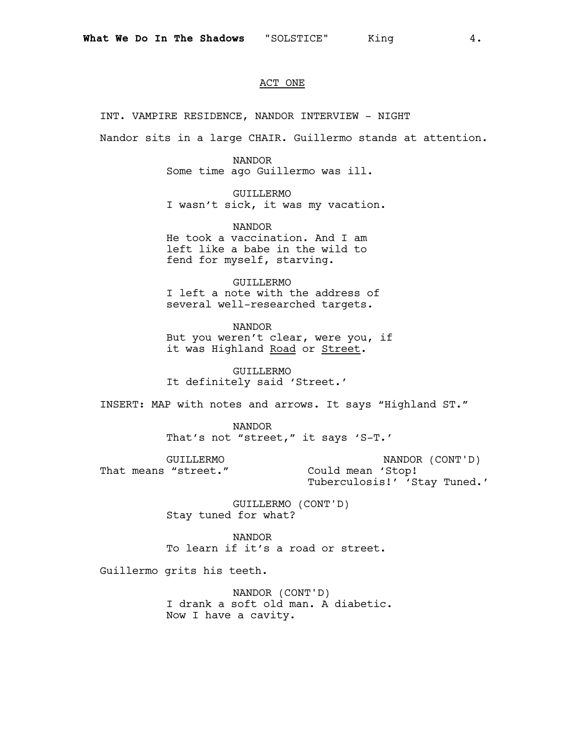#### ACT ONE

INT. VAMPIRE RESIDENCE, NANDOR INTERVIEW - NIGHT

Nandor sits in a large CHAIR. Guillermo stands at attention.

#### NANDOR

Some time ago Guillermo was ill.

GUILLERMO I wasn't sick, it was my vacation.

NANDOR He took a vaccination. And I am left like a babe in the wild to fend for myself, starving.

GUILLERMO I left a note with the address of several well-researched targets.

NANDOR But you weren't clear, were you, if it was Highland Road or Street.

GUILLERMO It definitely said 'Street.'

INSERT: MAP with notes and arrows. It says "Highland ST."

NANDOR That's not "street," it says 'S-T.'

GUILLERMO That means "street."

NANDOR (CONT'D) Could mean 'Stop! Tuberculosis!' 'Stay Tuned.'

GUILLERMO (CONT'D) Stay tuned for what?

NANDOR To learn if it's a road or street.

Guillermo grits his teeth.

NANDOR (CONT'D) I drank a soft old man. A diabetic. Now I have a cavity.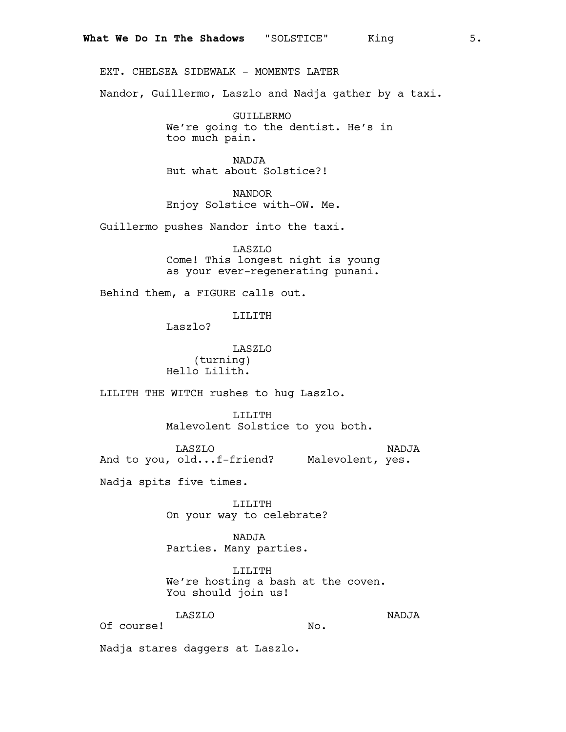EXT. CHELSEA SIDEWALK - MOMENTS LATER

Nandor, Guillermo, Laszlo and Nadja gather by a taxi.

GUILLERMO We're going to the dentist. He's in too much pain.

NADJA But what about Solstice?!

NANDOR Enjoy Solstice with-OW. Me.

Guillermo pushes Nandor into the taxi.

LASZLO Come! This longest night is young as your ever-regenerating punani.

Behind them, a FIGURE calls out.

#### LILITH

Laszlo?

LASZLO (turning) Hello Lilith.

LILITH THE WITCH rushes to hug Laszlo.

LILITH Malevolent Solstice to you both.

LASZLO And to you, old...f-friend? Malevolent, yes. NADJA

Nadja spits five times.

LILITH On your way to celebrate?

NADJA Parties. Many parties.

LILITH We're hosting a bash at the coven. You should join us!

# LASZLO

NADJA

Of course!

No.

Nadja stares daggers at Laszlo.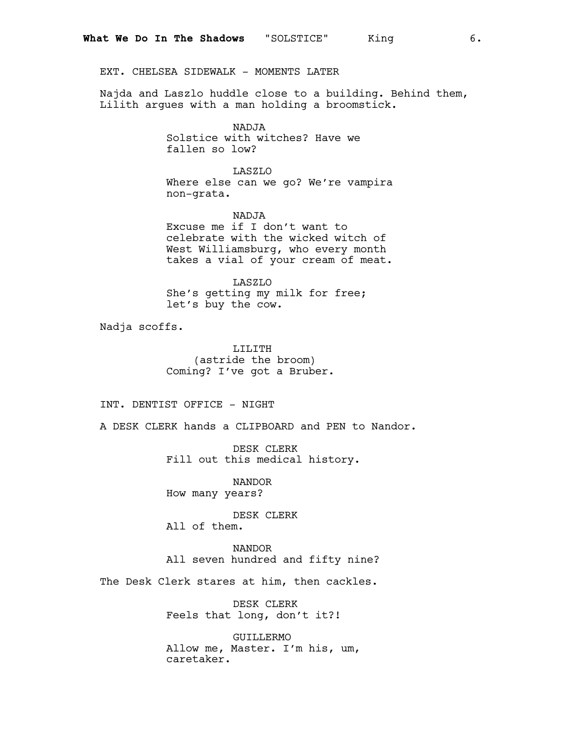EXT. CHELSEA SIDEWALK - MOMENTS LATER

Najda and Laszlo huddle close to a building. Behind them, Lilith argues with a man holding a broomstick.

> NADJA Solstice with witches? Have we fallen so low?

LASZLO Where else can we go? We're vampira non-grata.

NADJA Excuse me if I don't want to celebrate with the wicked witch of West Williamsburg, who every month takes a vial of your cream of meat.

LASZLO She's getting my milk for free; let's buy the cow.

Nadja scoffs.

LILITH (astride the broom) Coming? I've got a Bruber.

INT. DENTIST OFFICE - NIGHT

A DESK CLERK hands a CLIPBOARD and PEN to Nandor.

DESK CLERK Fill out this medical history.

NANDOR How many years?

DESK CLERK All of them.

NANDOR All seven hundred and fifty nine?

The Desk Clerk stares at him, then cackles.

DESK CLERK Feels that long, don't it?!

GUILLERMO Allow me, Master. I'm his, um, caretaker.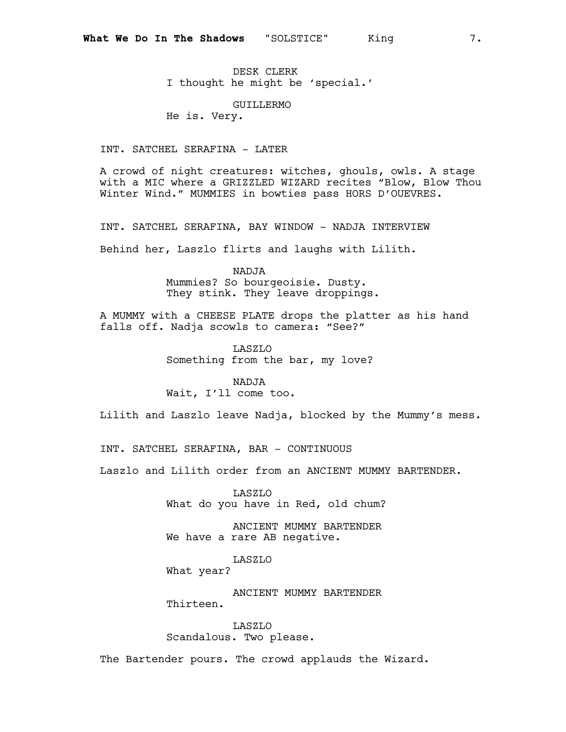DESK CLERK I thought he might be 'special.'

GUILLERMO

He is. Very.

INT. SATCHEL SERAFINA - LATER

A crowd of night creatures: witches, ghouls, owls. A stage with a MIC where a GRIZZLED WIZARD recites "Blow, Blow Thou Winter Wind." MUMMIES in bowties pass HORS D'OUEVRES.

INT. SATCHEL SERAFINA, BAY WINDOW - NADJA INTERVIEW

Behind her, Laszlo flirts and laughs with Lilith.

NADJA Mummies? So bourgeoisie. Dusty. They stink. They leave droppings.

A MUMMY with a CHEESE PLATE drops the platter as his hand falls off. Nadja scowls to camera: "See?"

> LASZLO Something from the bar, my love?

NADJA Wait, I'll come too.

Lilith and Laszlo leave Nadja, blocked by the Mummy's mess.

INT. SATCHEL SERAFINA, BAR - CONTINUOUS

Laszlo and Lilith order from an ANCIENT MUMMY BARTENDER.

LASZLO What do you have in Red, old chum?

ANCIENT MUMMY BARTENDER We have a rare AB negative.

LASZLO

What year?

ANCIENT MUMMY BARTENDER Thirteen.

LASZLO Scandalous. Two please.

The Bartender pours. The crowd applauds the Wizard.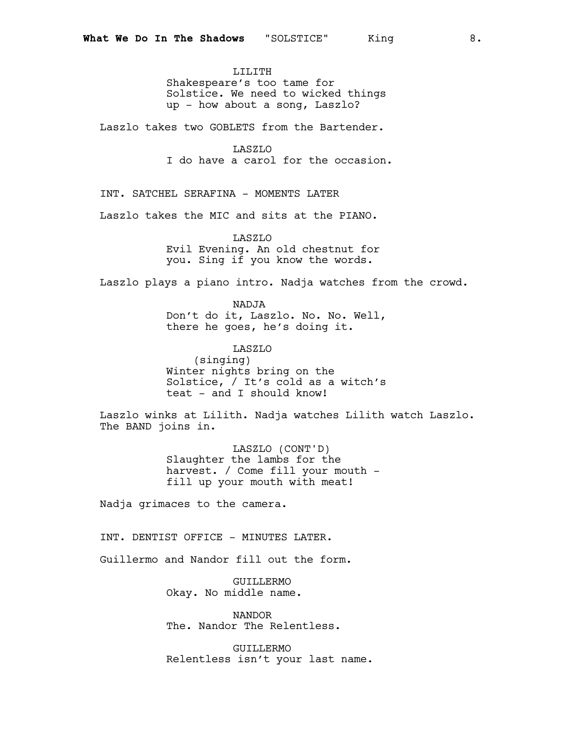LILITH Shakespeare's too tame for Solstice. We need to wicked things up - how about a song, Laszlo?

Laszlo takes two GOBLETS from the Bartender.

LASZLO I do have a carol for the occasion.

INT. SATCHEL SERAFINA - MOMENTS LATER

Laszlo takes the MIC and sits at the PIANO.

LASZLO Evil Evening. An old chestnut for you. Sing if you know the words.

Laszlo plays a piano intro. Nadja watches from the crowd.

NADJA Don't do it, Laszlo. No. No. Well, there he goes, he's doing it.

LASZLO (singing) Winter nights bring on the Solstice, / It's cold as a witch's teat - and I should know!

Laszlo winks at Lilith. Nadja watches Lilith watch Laszlo. The BAND joins in.

> LASZLO (CONT'D) Slaughter the lambs for the harvest. / Come fill your mouth – fill up your mouth with meat!

Nadja grimaces to the camera.

INT. DENTIST OFFICE - MINUTES LATER.

Guillermo and Nandor fill out the form.

GUILLERMO Okay. No middle name.

NANDOR The. Nandor The Relentless.

GUILLERMO Relentless isn't your last name.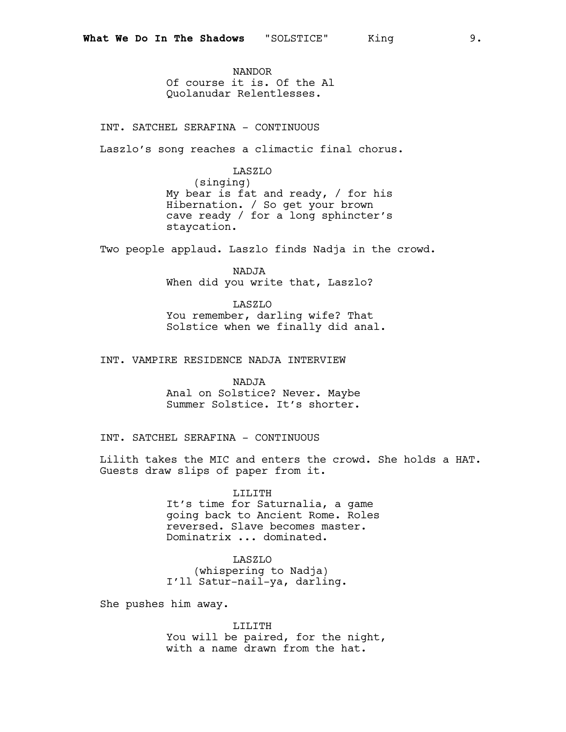NANDOR Of course it is. Of the Al Quolanudar Relentlesses.

INT. SATCHEL SERAFINA - CONTINUOUS

Laszlo's song reaches a climactic final chorus.

LASZLO

(singing) My bear is fat and ready, / for his Hibernation. / So get your brown cave ready / for a long sphincter's staycation.

Two people applaud. Laszlo finds Nadja in the crowd.

NADJA When did you write that, Laszlo?

LASZLO You remember, darling wife? That Solstice when we finally did anal.

INT. VAMPIRE RESIDENCE NADJA INTERVIEW

NADJA Anal on Solstice? Never. Maybe Summer Solstice. It's shorter.

INT. SATCHEL SERAFINA - CONTINUOUS

Lilith takes the MIC and enters the crowd. She holds a HAT. Guests draw slips of paper from it.

> LILITH It's time for Saturnalia, a game going back to Ancient Rome. Roles reversed. Slave becomes master. Dominatrix ... dominated.

> > LASZLO

(whispering to Nadja) I'll Satur-nail-ya, darling.

She pushes him away.

LILITH You will be paired, for the night, with a name drawn from the hat.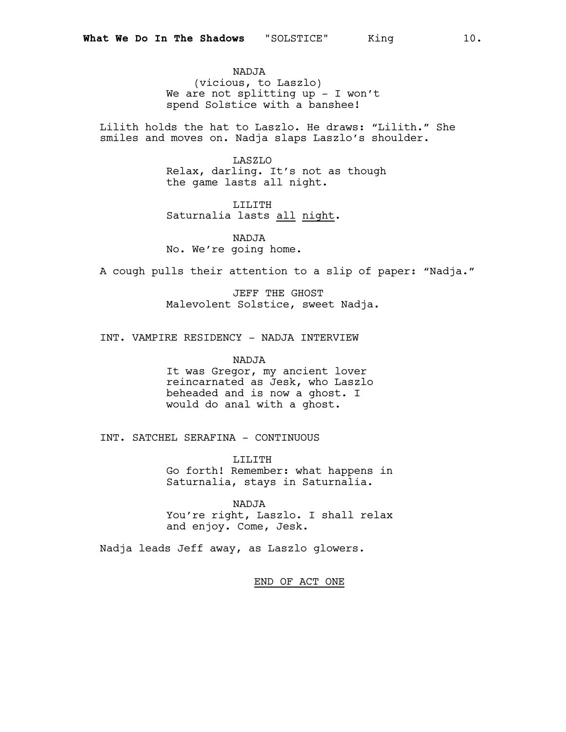NADJA (vicious, to Laszlo) We are not splitting up - I won't spend Solstice with a banshee!

Lilith holds the hat to Laszlo. He draws: "Lilith." She smiles and moves on. Nadja slaps Laszlo's shoulder.

> LASZLO Relax, darling. It's not as though the game lasts all night.

LILITH Saturnalia lasts all night.

NADJA No. We're going home.

A cough pulls their attention to a slip of paper: "Nadja."

JEFF THE GHOST Malevolent Solstice, sweet Nadja.

INT. VAMPIRE RESIDENCY - NADJA INTERVIEW

NADJA It was Gregor, my ancient lover reincarnated as Jesk, who Laszlo beheaded and is now a ghost. I would do anal with a ghost.

INT. SATCHEL SERAFINA - CONTINUOUS

LILITH Go forth! Remember: what happens in Saturnalia, stays in Saturnalia.

NADJA You're right, Laszlo. I shall relax and enjoy. Come, Jesk.

Nadja leads Jeff away, as Laszlo glowers.

END OF ACT ONE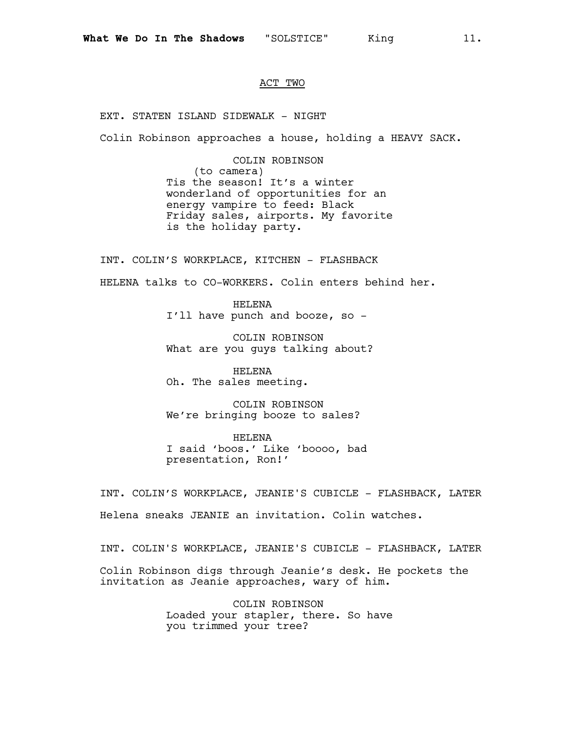### ACT TWO

EXT. STATEN ISLAND SIDEWALK - NIGHT

Colin Robinson approaches a house, holding a HEAVY SACK.

COLIN ROBINSON (to camera) Tis the season! It's a winter wonderland of opportunities for an energy vampire to feed: Black Friday sales, airports. My favorite is the holiday party.

INT. COLIN'S WORKPLACE, KITCHEN - FLASHBACK HELENA talks to CO-WORKERS. Colin enters behind her.

> HELENA I'll have punch and booze, so -

COLIN ROBINSON What are you guys talking about?

HELENA Oh. The sales meeting.

COLIN ROBINSON We're bringing booze to sales?

HELENA I said 'boos.' Like 'boooo, bad presentation, Ron!'

INT. COLIN'S WORKPLACE, JEANIE'S CUBICLE - FLASHBACK, LATER Helena sneaks JEANIE an invitation. Colin watches.

INT. COLIN'S WORKPLACE, JEANIE'S CUBICLE - FLASHBACK, LATER

Colin Robinson digs through Jeanie's desk. He pockets the invitation as Jeanie approaches, wary of him.

> COLIN ROBINSON Loaded your stapler, there. So have you trimmed your tree?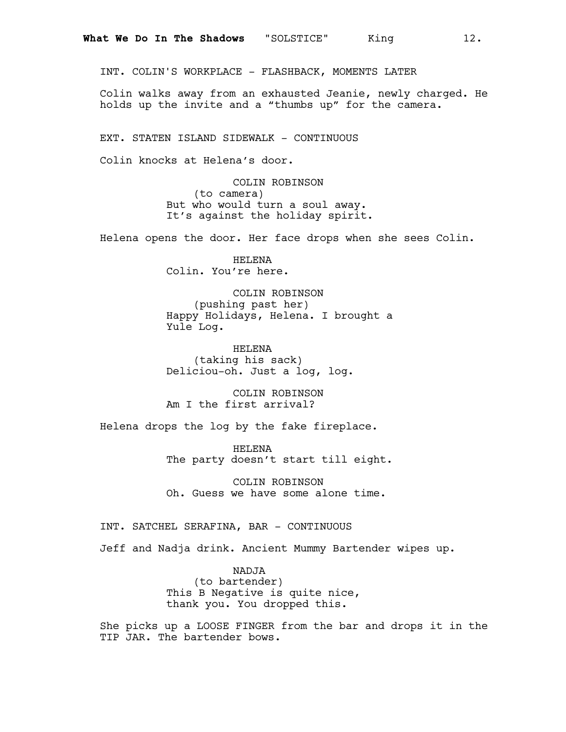INT. COLIN'S WORKPLACE - FLASHBACK, MOMENTS LATER

Colin walks away from an exhausted Jeanie, newly charged. He holds up the invite and a "thumbs up" for the camera.

EXT. STATEN ISLAND SIDEWALK - CONTINUOUS

Colin knocks at Helena's door.

COLIN ROBINSON (to camera) But who would turn a soul away. It's against the holiday spirit.

Helena opens the door. Her face drops when she sees Colin.

HELENA Colin. You're here.

COLIN ROBINSON (pushing past her) Happy Holidays, Helena. I brought a Yule Log.

HELENA (taking his sack) Deliciou-oh. Just a log, log.

COLIN ROBINSON Am I the first arrival?

Helena drops the log by the fake fireplace.

HELENA The party doesn't start till eight.

COLIN ROBINSON Oh. Guess we have some alone time.

INT. SATCHEL SERAFINA, BAR - CONTINUOUS

Jeff and Nadja drink. Ancient Mummy Bartender wipes up.

NADJA (to bartender) This B Negative is quite nice, thank you. You dropped this.

She picks up a LOOSE FINGER from the bar and drops it in the TIP JAR. The bartender bows.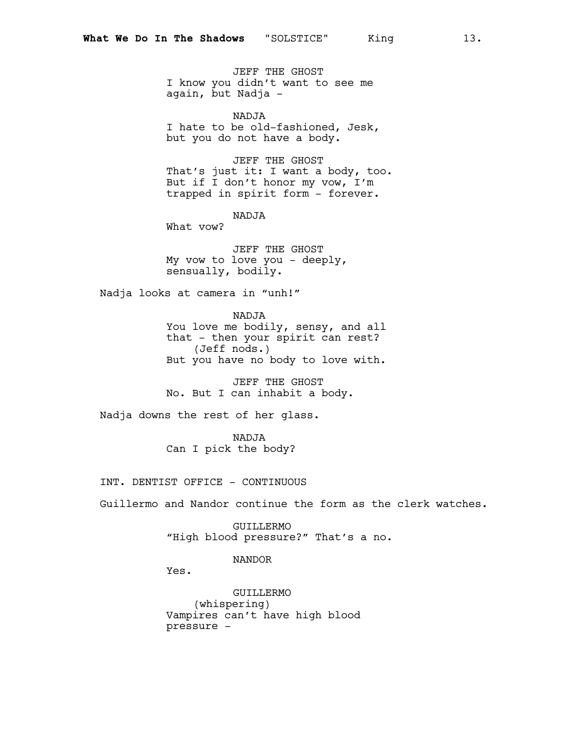JEFF THE GHOST I know you didn't want to see me again, but Nadja -

NADJA I hate to be old-fashioned, Jesk, but you do not have a body.

JEFF THE GHOST That's just it: I want a body, too. But if I don't honor my vow, I'm trapped in spirit form - forever.

NADJA

What vow?

JEFF THE GHOST My vow to love you - deeply, sensually, bodily.

Nadja looks at camera in "unh!"

NADJA You love me bodily, sensy, and all that - then your spirit can rest? (Jeff nods.) But you have no body to love with.

JEFF THE GHOST No. But I can inhabit a body.

Nadja downs the rest of her glass.

NADJA Can I pick the body?

INT. DENTIST OFFICE - CONTINUOUS

Guillermo and Nandor continue the form as the clerk watches.

GUILLERMO "High blood pressure?" That's a no.

#### NANDOR

Yes.

GUILLERMO (whispering) Vampires can't have high blood pressure -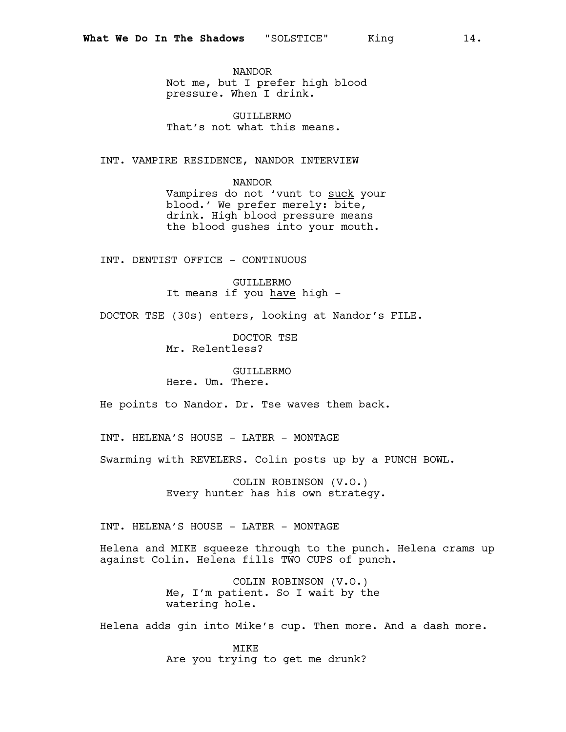NANDOR Not me, but I prefer high blood pressure. When I drink.

GUILLERMO That's not what this means.

INT. VAMPIRE RESIDENCE, NANDOR INTERVIEW

NANDOR Vampires do not 'vunt to suck your blood.' We prefer merely: bite, drink. High blood pressure means the blood gushes into your mouth.

INT. DENTIST OFFICE - CONTINUOUS

GUILLERMO It means if you have high -

DOCTOR TSE (30s) enters, looking at Nandor's FILE.

DOCTOR TSE Mr. Relentless?

GUILLERMO Here. Um. There.

He points to Nandor. Dr. Tse waves them back.

INT. HELENA'S HOUSE - LATER - MONTAGE

Swarming with REVELERS. Colin posts up by a PUNCH BOWL.

COLIN ROBINSON (V.O.) Every hunter has his own strategy.

INT. HELENA'S HOUSE - LATER - MONTAGE

Helena and MIKE squeeze through to the punch. Helena crams up against Colin. Helena fills TWO CUPS of punch.

> COLIN ROBINSON (V.O.) Me, I'm patient. So I wait by the watering hole.

Helena adds gin into Mike's cup. Then more. And a dash more.

MIKE Are you trying to get me drunk?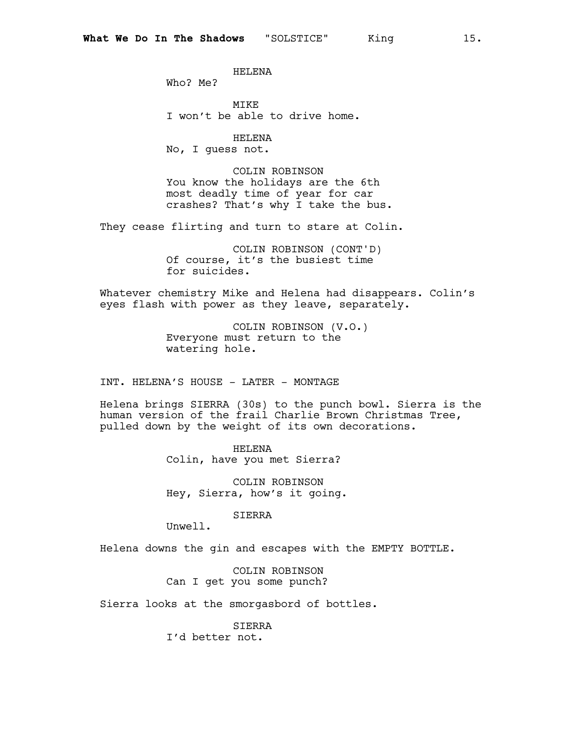HELENA

Who? Me?

MIKE I won't be able to drive home.

HELENA No, I guess not.

COLIN ROBINSON You know the holidays are the 6th most deadly time of year for car crashes? That's why I take the bus.

They cease flirting and turn to stare at Colin.

COLIN ROBINSON (CONT'D) Of course, it's the busiest time for suicides.

Whatever chemistry Mike and Helena had disappears. Colin's eyes flash with power as they leave, separately.

> COLIN ROBINSON (V.O.) Everyone must return to the watering hole.

INT. HELENA'S HOUSE - LATER - MONTAGE

Helena brings SIERRA (30s) to the punch bowl. Sierra is the human version of the frail Charlie Brown Christmas Tree, pulled down by the weight of its own decorations.

> HELENA Colin, have you met Sierra?

COLIN ROBINSON Hey, Sierra, how's it going.

SIERRA

Unwell.

Helena downs the gin and escapes with the EMPTY BOTTLE.

COLIN ROBINSON Can I get you some punch?

Sierra looks at the smorgasbord of bottles.

SIERRA I'd better not.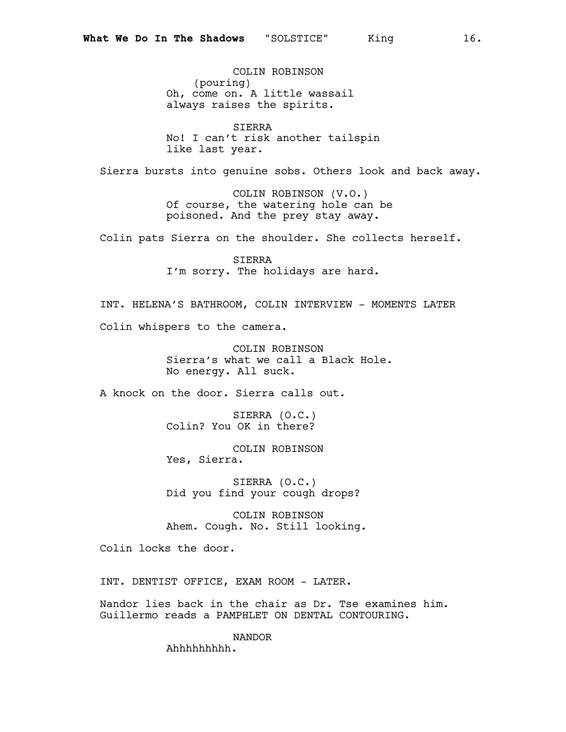COLIN ROBINSON (pouring) Oh, come on. A little wassail always raises the spirits.

SIERRA No! I can't risk another tailspin like last year.

Sierra bursts into genuine sobs. Others look and back away.

COLIN ROBINSON (V.O.) Of course, the watering hole can be poisoned. And the prey stay away.

Colin pats Sierra on the shoulder. She collects herself.

SIERRA I'm sorry. The holidays are hard.

INT. HELENA'S BATHROOM, COLIN INTERVIEW - MOMENTS LATER Colin whispers to the camera.

> COLIN ROBINSON Sierra's what we call a Black Hole. No energy. All suck.

A knock on the door. Sierra calls out.

SIERRA (O.C.) Colin? You OK in there?

COLIN ROBINSON Yes, Sierra.

SIERRA (O.C.) Did you find your cough drops?

COLIN ROBINSON Ahem. Cough. No. Still looking.

Colin locks the door.

INT. DENTIST OFFICE, EXAM ROOM - LATER.

Nandor lies back in the chair as Dr. Tse examines him. Guillermo reads a PAMPHLET ON DENTAL CONTOURING.

> NANDOR Ahhhhhhhhh.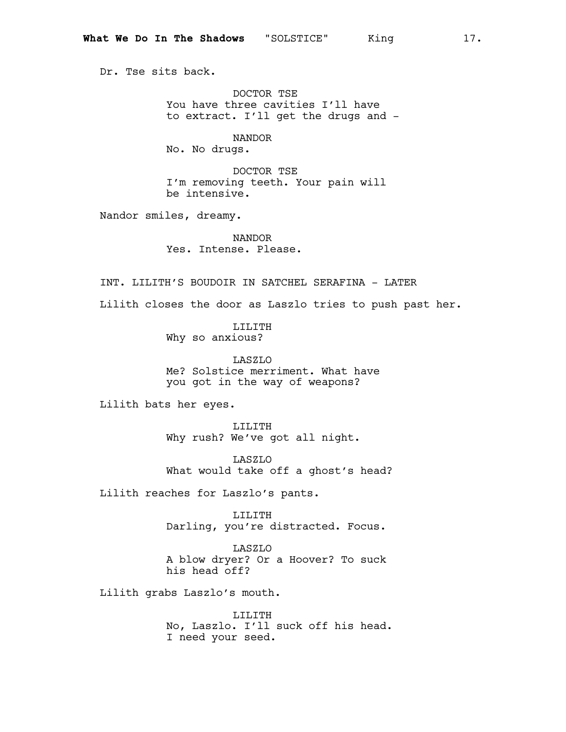Dr. Tse sits back.

DOCTOR TSE You have three cavities I'll have to extract. I'll get the drugs and -

NANDOR No. No drugs.

DOCTOR TSE I'm removing teeth. Your pain will be intensive.

Nandor smiles, dreamy.

NANDOR Yes. Intense. Please.

INT. LILITH'S BOUDOIR IN SATCHEL SERAFINA - LATER

Lilith closes the door as Laszlo tries to push past her.

LILITH Why so anxious?

LASZLO Me? Solstice merriment. What have you got in the way of weapons?

Lilith bats her eyes.

LILITH Why rush? We've got all night.

LASZLO What would take off a ghost's head?

Lilith reaches for Laszlo's pants.

LILITH Darling, you're distracted. Focus.

LASZLO A blow dryer? Or a Hoover? To suck his head off?

Lilith grabs Laszlo's mouth.

LILITH No, Laszlo. I'll suck off his head. I need your seed.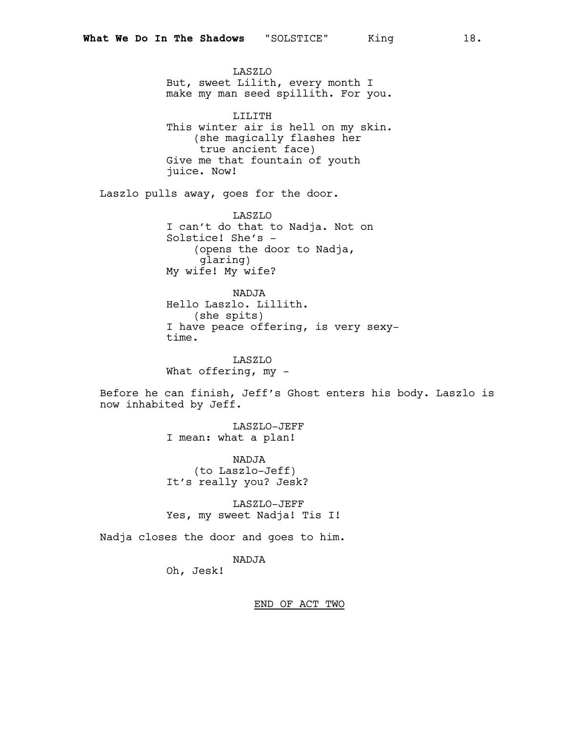LASZLO But, sweet Lilith, every month I make my man seed spillith. For you. LILITH This winter air is hell on my skin. (she magically flashes her true ancient face) Give me that fountain of youth juice. Now! Laszlo pulls away, goes for the door. LASZLO I can't do that to Nadja. Not on Solstice! She's - (opens the door to Nadja, glaring) My wife! My wife? NADJA Hello Laszlo. Lillith. (she spits) I have peace offering, is very sexytime.

> LASZLO What offering, my -

Before he can finish, Jeff's Ghost enters his body. Laszlo is now inhabited by Jeff.

> LASZLO-JEFF I mean: what a plan!

NADJA (to Laszlo-Jeff) It's really you? Jesk?

LASZLO-JEFF Yes, my sweet Nadja! Tis I!

Nadja closes the door and goes to him.

NADJA

Oh, Jesk!

END OF ACT TWO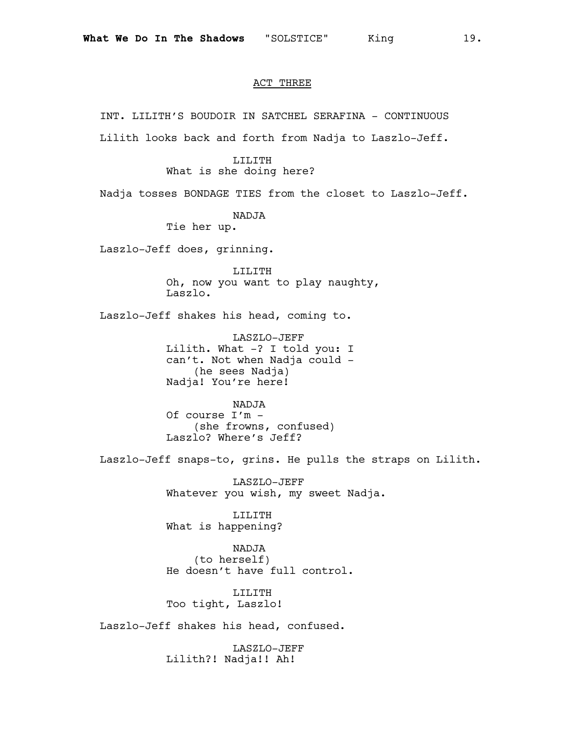#### ACT THREE

INT. LILITH'S BOUDOIR IN SATCHEL SERAFINA - CONTINUOUS Lilith looks back and forth from Nadja to Laszlo-Jeff. LILITH What is she doing here? Nadja tosses BONDAGE TIES from the closet to Laszlo-Jeff. NADJA Tie her up. Laszlo-Jeff does, grinning. LILITH Oh, now you want to play naughty, Laszlo. Laszlo-Jeff shakes his head, coming to. LASZLO-JEFF Lilith. What -? I told you: I can't. Not when Nadja could - (he sees Nadja) Nadja! You're here! NADJA Of course I'm - (she frowns, confused) Laszlo? Where's Jeff? Laszlo-Jeff snaps-to, grins. He pulls the straps on Lilith. LASZLO-JEFF Whatever you wish, my sweet Nadja. LILITH What is happening? NADJA (to herself) He doesn't have full control. LILITH Too tight, Laszlo! Laszlo-Jeff shakes his head, confused. LASZLO-JEFF Lilith?! Nadja!! Ah!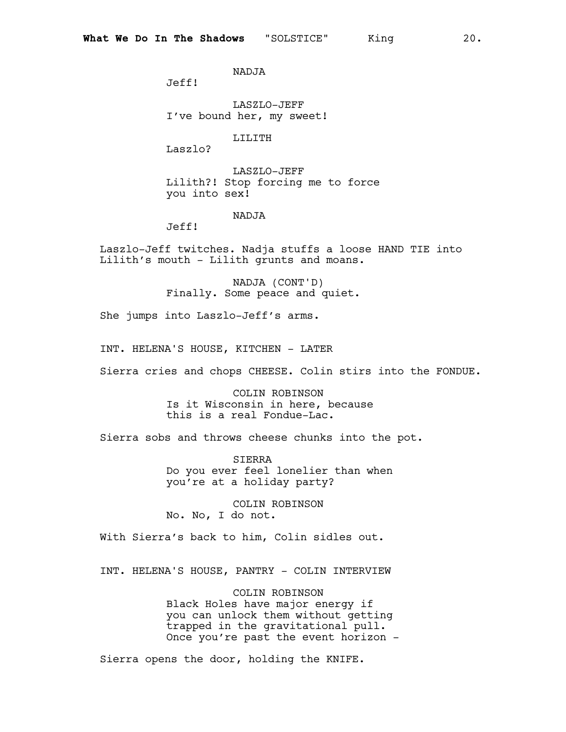NADJA

Jeff!

LASZLO-JEFF I've bound her, my sweet!

LILITH

Laszlo?

LASZLO-JEFF Lilith?! Stop forcing me to force you into sex!

### NADJA

Jeff!

Laszlo-Jeff twitches. Nadja stuffs a loose HAND TIE into Lilith's mouth - Lilith grunts and moans.

> NADJA (CONT'D) Finally. Some peace and quiet.

She jumps into Laszlo-Jeff's arms.

INT. HELENA'S HOUSE, KITCHEN - LATER

Sierra cries and chops CHEESE. Colin stirs into the FONDUE.

COLIN ROBINSON Is it Wisconsin in here, because this is a real Fondue-Lac.

Sierra sobs and throws cheese chunks into the pot.

SIERRA Do you ever feel lonelier than when you're at a holiday party?

COLIN ROBINSON No. No, I do not.

With Sierra's back to him, Colin sidles out.

INT. HELENA'S HOUSE, PANTRY - COLIN INTERVIEW

COLIN ROBINSON Black Holes have major energy if you can unlock them without getting trapped in the gravitational pull. Once you're past the event horizon -

Sierra opens the door, holding the KNIFE.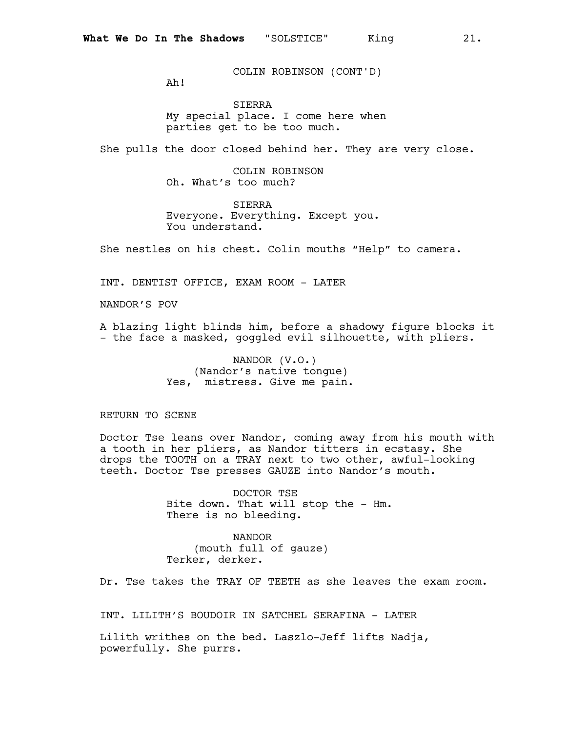COLIN ROBINSON (CONT'D)

Ah!

SIERRA My special place. I come here when parties get to be too much.

She pulls the door closed behind her. They are very close.

COLIN ROBINSON Oh. What's too much?

SIERRA Everyone. Everything. Except you. You understand.

She nestles on his chest. Colin mouths "Help" to camera.

INT. DENTIST OFFICE, EXAM ROOM - LATER

NANDOR'S POV

A blazing light blinds him, before a shadowy figure blocks it - the face a masked, goggled evil silhouette, with pliers.

> NANDOR (V.O.) (Nandor's native tongue) Yes, mistress. Give me pain.

RETURN TO SCENE

Doctor Tse leans over Nandor, coming away from his mouth with a tooth in her pliers, as Nandor titters in ecstasy. She drops the TOOTH on a TRAY next to two other, awful-looking teeth. Doctor Tse presses GAUZE into Nandor's mouth.

> DOCTOR TSE Bite down. That will stop the - Hm. There is no bleeding.

NANDOR (mouth full of gauze) Terker, derker.

Dr. Tse takes the TRAY OF TEETH as she leaves the exam room.

INT. LILITH'S BOUDOIR IN SATCHEL SERAFINA - LATER

Lilith writhes on the bed. Laszlo-Jeff lifts Nadja, powerfully. She purrs.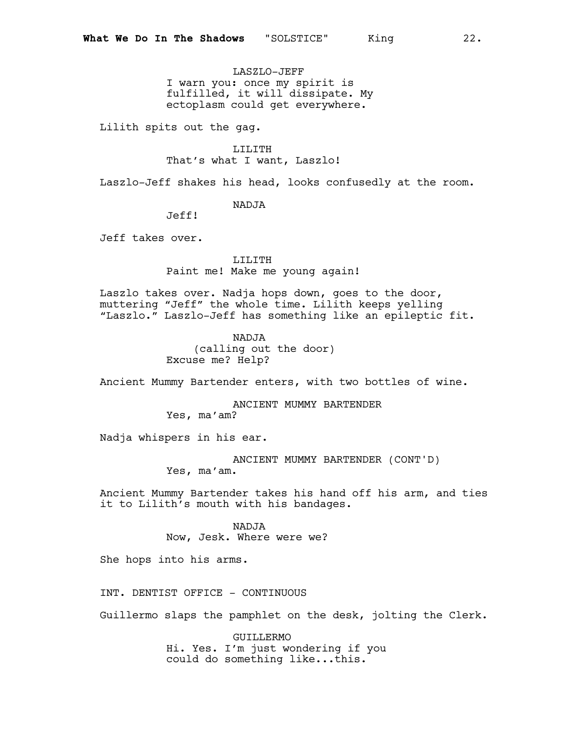LASZLO-JEFF I warn you: once my spirit is fulfilled, it will dissipate. My ectoplasm could get everywhere.

Lilith spits out the gag.

LILITH That's what I want, Laszlo!

Laszlo-Jeff shakes his head, looks confusedly at the room.

NADJA

Jeff!

Jeff takes over.

LILITH Paint me! Make me young again!

Laszlo takes over. Nadja hops down, goes to the door, muttering "Jeff" the whole time. Lilith keeps yelling "Laszlo." Laszlo-Jeff has something like an epileptic fit.

> NADJA (calling out the door) Excuse me? Help?

Ancient Mummy Bartender enters, with two bottles of wine.

ANCIENT MUMMY BARTENDER Yes, ma'am?

Nadja whispers in his ear.

ANCIENT MUMMY BARTENDER (CONT'D)

Yes, ma'am.

Ancient Mummy Bartender takes his hand off his arm, and ties it to Lilith's mouth with his bandages.

NADJA

Now, Jesk. Where were we?

She hops into his arms.

INT. DENTIST OFFICE - CONTINUOUS

Guillermo slaps the pamphlet on the desk, jolting the Clerk.

GUILLERMO Hi. Yes. I'm just wondering if you could do something like...this.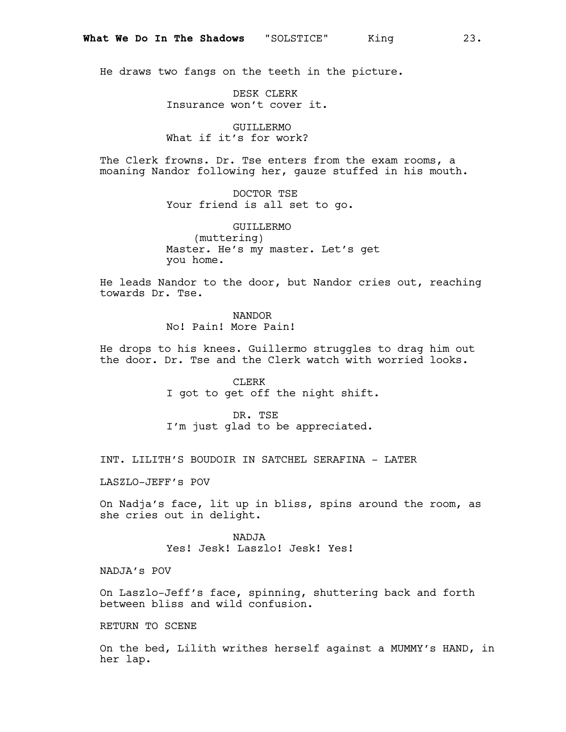He draws two fangs on the teeth in the picture.

DESK CLERK Insurance won't cover it.

GUILLERMO What if it's for work?

The Clerk frowns. Dr. Tse enters from the exam rooms, a moaning Nandor following her, gauze stuffed in his mouth.

> DOCTOR TSE Your friend is all set to go.

GUILLERMO (muttering) Master. He's my master. Let's get you home.

He leads Nandor to the door, but Nandor cries out, reaching towards Dr. Tse.

NANDOR

No! Pain! More Pain!

He drops to his knees. Guillermo struggles to drag him out the door. Dr. Tse and the Clerk watch with worried looks.

> CLERK I got to get off the night shift.

DR. TSE I'm just glad to be appreciated.

INT. LILITH'S BOUDOIR IN SATCHEL SERAFINA - LATER

LASZLO-JEFF's POV

On Nadja's face, lit up in bliss, spins around the room, as she cries out in delight.

> NADJA Yes! Jesk! Laszlo! Jesk! Yes!

NADJA's POV

On Laszlo-Jeff's face, spinning, shuttering back and forth between bliss and wild confusion.

RETURN TO SCENE

On the bed, Lilith writhes herself against a MUMMY's HAND, in her lap.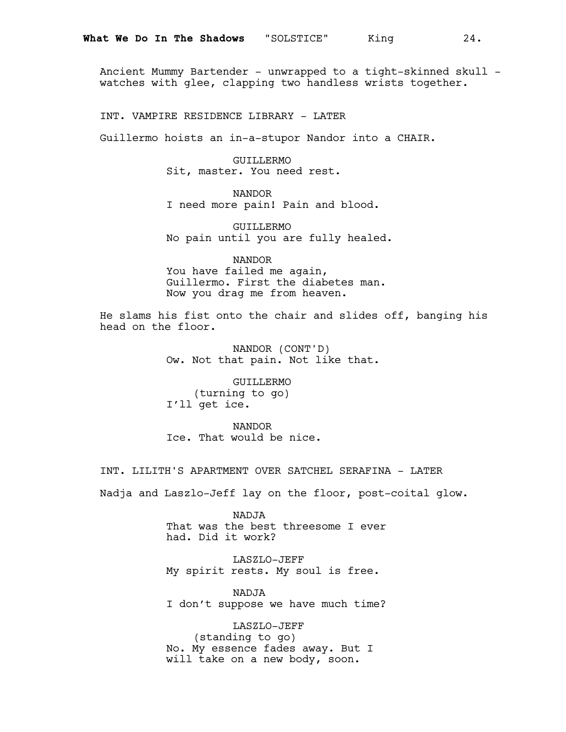Ancient Mummy Bartender - unwrapped to a tight-skinned skull watches with glee, clapping two handless wrists together.

INT. VAMPIRE RESIDENCE LIBRARY - LATER

Guillermo hoists an in-a-stupor Nandor into a CHAIR.

GUILLERMO Sit, master. You need rest.

NANDOR I need more pain! Pain and blood.

GUILLERMO No pain until you are fully healed.

NANDOR You have failed me again, Guillermo. First the diabetes man. Now you drag me from heaven.

He slams his fist onto the chair and slides off, banging his head on the floor.

> NANDOR (CONT'D) Ow. Not that pain. Not like that.

GUILLERMO (turning to go) I'll get ice.

NANDOR Ice. That would be nice.

INT. LILITH'S APARTMENT OVER SATCHEL SERAFINA - LATER

Nadja and Laszlo-Jeff lay on the floor, post-coital glow.

NADJA That was the best threesome I ever had. Did it work?

LASZLO-JEFF My spirit rests. My soul is free.

NADJA I don't suppose we have much time?

LASZLO-JEFF (standing to go) No. My essence fades away. But I will take on a new body, soon.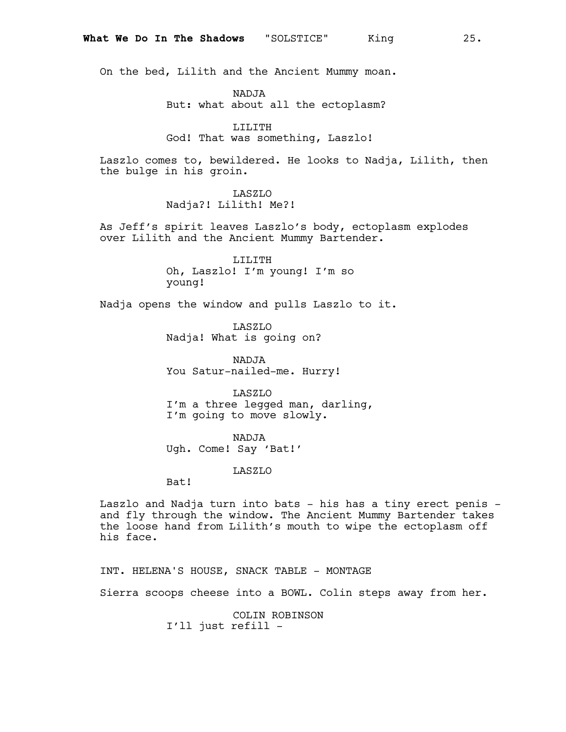On the bed, Lilith and the Ancient Mummy moan.

NADJA

But: what about all the ectoplasm?

### LILITH

God! That was something, Laszlo!

Laszlo comes to, bewildered. He looks to Nadja, Lilith, then the bulge in his groin.

### LASZLO

Nadja?! Lilith! Me?!

As Jeff's spirit leaves Laszlo's body, ectoplasm explodes over Lilith and the Ancient Mummy Bartender.

> LILITH Oh, Laszlo! I'm young! I'm so young!

Nadja opens the window and pulls Laszlo to it.

LASZLO Nadja! What is going on?

NADJA You Satur-nailed-me. Hurry!

LASZLO

I'm a three legged man, darling, I'm going to move slowly.

NADJA Ugh. Come! Say 'Bat!'

#### LASZLO

Bat!

Laszlo and Nadja turn into bats - his has a tiny erect penis and fly through the window. The Ancient Mummy Bartender takes the loose hand from Lilith's mouth to wipe the ectoplasm off his face.

INT. HELENA'S HOUSE, SNACK TABLE - MONTAGE

Sierra scoops cheese into a BOWL. Colin steps away from her.

COLIN ROBINSON I'll just refill -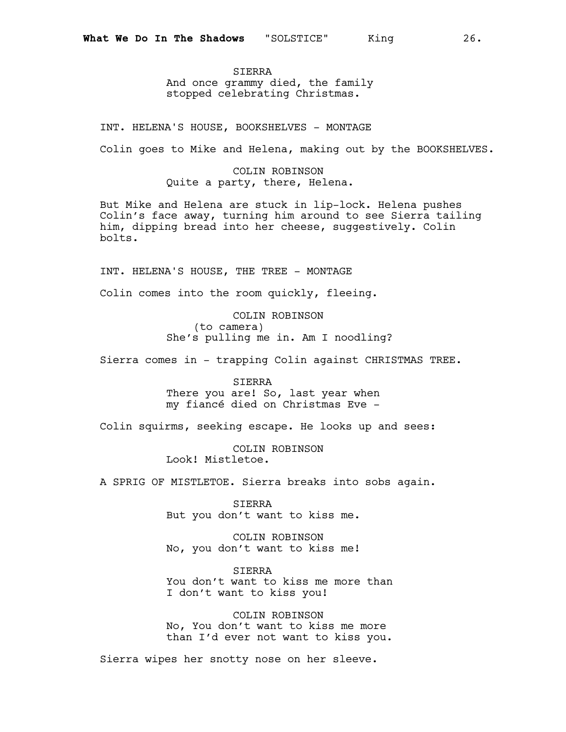SIERRA And once grammy died, the family stopped celebrating Christmas.

INT. HELENA'S HOUSE, BOOKSHELVES - MONTAGE

Colin goes to Mike and Helena, making out by the BOOKSHELVES.

COLIN ROBINSON Quite a party, there, Helena.

But Mike and Helena are stuck in lip-lock. Helena pushes Colin's face away, turning him around to see Sierra tailing him, dipping bread into her cheese, suggestively. Colin bolts.

INT. HELENA'S HOUSE, THE TREE - MONTAGE

Colin comes into the room quickly, fleeing.

COLIN ROBINSON (to camera) She's pulling me in. Am I noodling?

Sierra comes in - trapping Colin against CHRISTMAS TREE.

SIERRA There you are! So, last year when my fiancé died on Christmas Eve -

Colin squirms, seeking escape. He looks up and sees:

COLIN ROBINSON Look! Mistletoe.

A SPRIG OF MISTLETOE. Sierra breaks into sobs again.

SIERRA But you don't want to kiss me.

COLIN ROBINSON No, you don't want to kiss me!

SIERRA You don't want to kiss me more than I don't want to kiss you!

COLIN ROBINSON No, You don't want to kiss me more than I'd ever not want to kiss you.

Sierra wipes her snotty nose on her sleeve.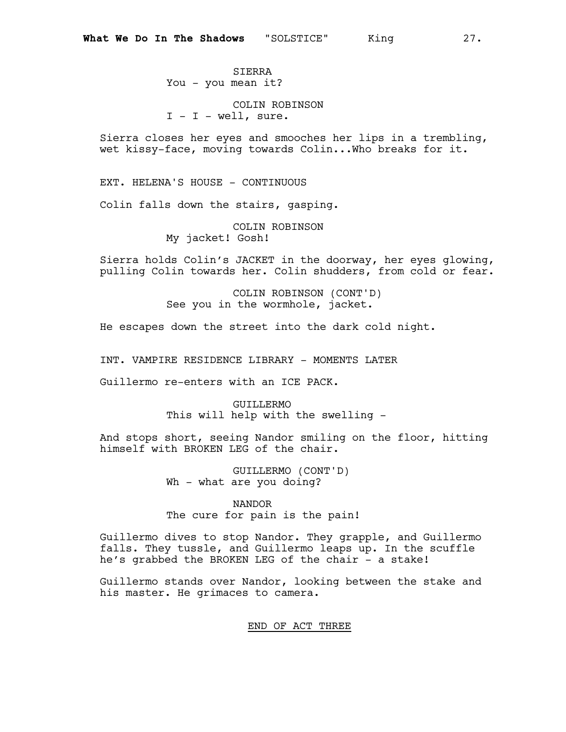SIERRA You - you mean it?

COLIN ROBINSON  $I - I - well$ , sure.

Sierra closes her eyes and smooches her lips in a trembling, wet kissy-face, moving towards Colin...Who breaks for it.

EXT. HELENA'S HOUSE - CONTINUOUS

Colin falls down the stairs, gasping.

COLIN ROBINSON My jacket! Gosh!

Sierra holds Colin's JACKET in the doorway, her eyes glowing, pulling Colin towards her. Colin shudders, from cold or fear.

> COLIN ROBINSON (CONT'D) See you in the wormhole, jacket.

He escapes down the street into the dark cold night.

INT. VAMPIRE RESIDENCE LIBRARY - MOMENTS LATER

Guillermo re-enters with an ICE PACK.

GUILLERMO This will help with the swelling -

And stops short, seeing Nandor smiling on the floor, hitting himself with BROKEN LEG of the chair.

> GUILLERMO (CONT'D) Wh - what are you doing?

NANDOR The cure for pain is the pain!

Guillermo dives to stop Nandor. They grapple, and Guillermo falls. They tussle, and Guillermo leaps up. In the scuffle he's grabbed the BROKEN LEG of the chair - a stake!

Guillermo stands over Nandor, looking between the stake and his master. He grimaces to camera.

#### END OF ACT THREE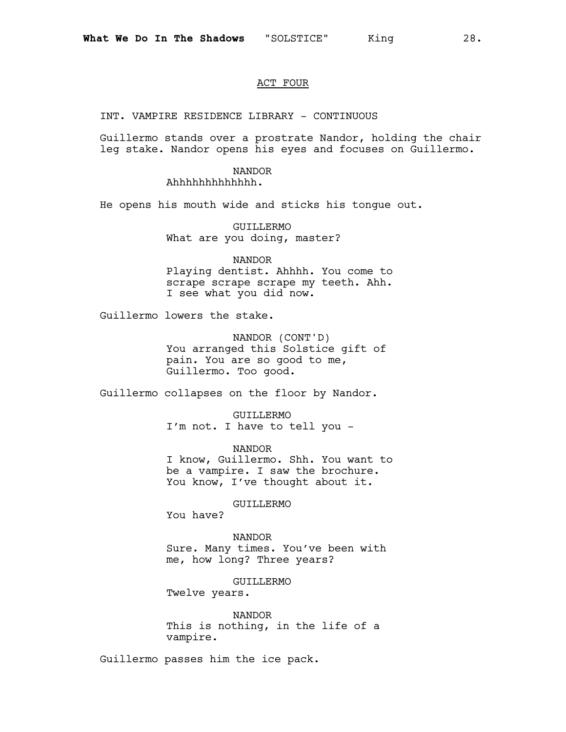# ACT FOUR

INT. VAMPIRE RESIDENCE LIBRARY - CONTINUOUS

Guillermo stands over a prostrate Nandor, holding the chair leg stake. Nandor opens his eyes and focuses on Guillermo.

### NANDOR

Ahhhhhhhhhhhhh.

He opens his mouth wide and sticks his tongue out.

GUILLERMO What are you doing, master?

NANDOR Playing dentist. Ahhhh. You come to scrape scrape scrape my teeth. Ahh. I see what you did now.

Guillermo lowers the stake.

NANDOR (CONT'D) You arranged this Solstice gift of pain. You are so good to me, Guillermo. Too good.

Guillermo collapses on the floor by Nandor.

GUILLERMO I'm not. I have to tell you -

NANDOR I know, Guillermo. Shh. You want to be a vampire. I saw the brochure. You know, I've thought about it.

GUILLERMO

You have?

NANDOR Sure. Many times. You've been with me, how long? Three years?

GUILLERMO

Twelve years.

NANDOR This is nothing, in the life of a vampire.

Guillermo passes him the ice pack.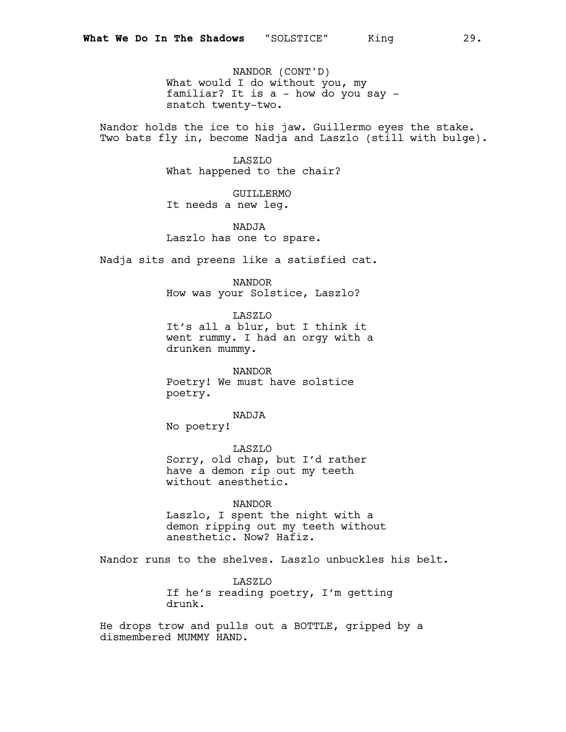NANDOR (CONT'D) What would I do without you, my familiar? It is a - how do you say snatch twenty-two.

Nandor holds the ice to his jaw. Guillermo eyes the stake. Two bats fly in, become Nadja and Laszlo (still with bulge).

> LASZLO What happened to the chair?

GUILLERMO It needs a new leg.

NADJA Laszlo has one to spare.

Nadja sits and preens like a satisfied cat.

NANDOR How was your Solstice, Laszlo?

LASZLO It's all a blur, but I think it went rummy. I had an orgy with a drunken mummy.

NANDOR Poetry! We must have solstice poetry.

NADJA

No poetry!

LASZLO Sorry, old chap, but I'd rather have a demon rip out my teeth without anesthetic.

NANDOR

Laszlo, I spent the night with a demon ripping out my teeth without anesthetic. Now? Hafiz.

Nandor runs to the shelves. Laszlo unbuckles his belt.

LASZLO If he's reading poetry, I'm getting drunk.

He drops trow and pulls out a BOTTLE, gripped by a dismembered MUMMY HAND.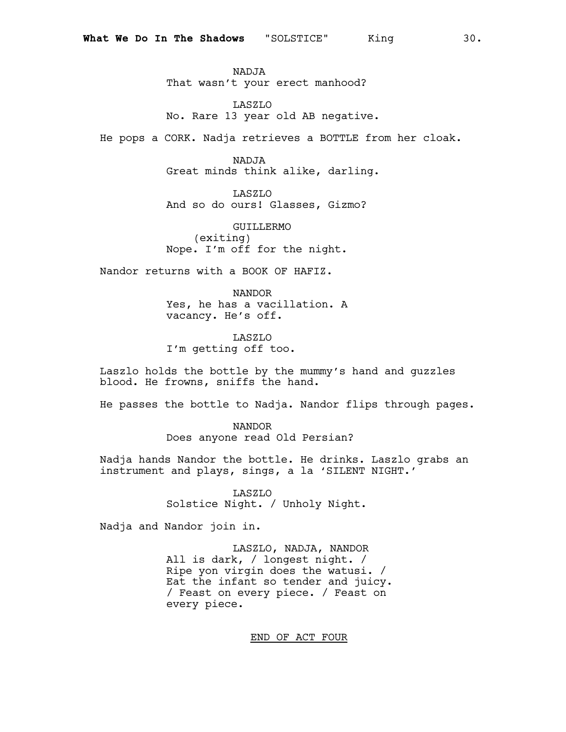NADJA That wasn't your erect manhood?

LASZLO No. Rare 13 year old AB negative.

He pops a CORK. Nadja retrieves a BOTTLE from her cloak.

NADJA Great minds think alike, darling.

LASZLO And so do ours! Glasses, Gizmo?

GUILLERMO (exiting) Nope. I'm off for the night.

Nandor returns with a BOOK OF HAFIZ.

NANDOR Yes, he has a vacillation. A vacancy. He's off.

LASZLO I'm getting off too.

Laszlo holds the bottle by the mummy's hand and guzzles blood. He frowns, sniffs the hand.

He passes the bottle to Nadja. Nandor flips through pages.

NANDOR Does anyone read Old Persian?

Nadja hands Nandor the bottle. He drinks. Laszlo grabs an instrument and plays, sings, a la 'SILENT NIGHT.'

> LASZLO Solstice Night. / Unholy Night.

Nadja and Nandor join in.

LASZLO, NADJA, NANDOR All is dark, / longest night. / Ripe yon virgin does the watusi. / Eat the infant so tender and juicy. / Feast on every piece. / Feast on every piece.

END OF ACT FOUR